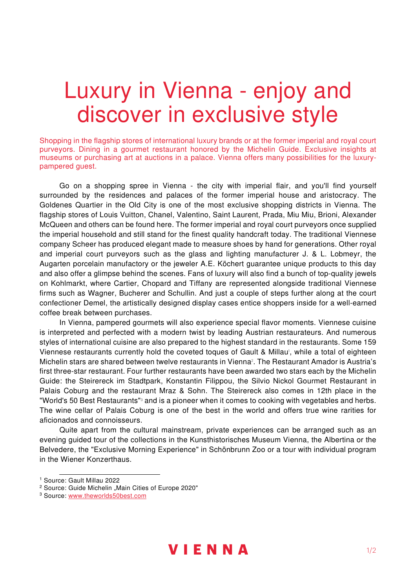## Luxury in Vienna - enjoy and discover in exclusive style

Shopping in the flagship stores of international luxury brands or at the former imperial and royal court purveyors. Dining in a gourmet restaurant honored by the Michelin Guide. Exclusive insights at museums or purchasing art at auctions in a palace. Vienna offers many possibilities for the luxurypampered guest.

Go on a shopping spree in Vienna - the city with imperial flair, and you'll find yourself surrounded by the residences and palaces of the former imperial house and aristocracy. The Goldenes Quartier in the Old City is one of the most exclusive shopping districts in Vienna. The flagship stores of Louis Vuitton, Chanel, Valentino, Saint Laurent, Prada, Miu Miu, Brioni, Alexander McQueen and others can be found here. The former imperial and royal court purveyors once supplied the imperial household and still stand for the finest quality handcraft today. The traditional Viennese company Scheer has produced elegant made to measure shoes by hand for generations. Other royal and imperial court purveyors such as the glass and lighting manufacturer J. & L. Lobmeyr, the Augarten porcelain manufactory or the jeweler A.E. Köchert guarantee unique products to this day and also offer a glimpse behind the scenes. Fans of luxury will also find a bunch of top-quality jewels on Kohlmarkt, where Cartier, Chopard and Tiffany are represented alongside traditional Viennese firms such as Wagner, Bucherer and Schullin. And just a couple of steps further along at the court confectioner Demel, the artistically designed display cases entice shoppers inside for a well-earned coffee break between purchases.

In Vienna, pampered gourmets will also experience special flavor moments. Viennese cuisine is interpreted and perfected with a modern twist by leading Austrian restaurateurs. And numerous styles of international cuisine are also prepared to the highest standard in the restaurants. Some 159 Viennese restaurants currently hold the coveted toques of Gault & Millau<sup>1</sup>, while a total of eighteen Michelin stars are shared between twelve restaurants in Vienna $^{\rm{z}}$ . The Restaurant Amador is Austria's first three-star restaurant. Four further restaurants have been awarded two stars each by the Michelin Guide: the Steirereck im Stadtpark, Konstantin Filippou, the Silvio Nickol Gourmet Restaurant in Palais Coburg and the restaurant Mraz & Sohn. The Steirereck also comes in 12th place in the "World's 50 Best Restaurants" $^{\rm _{3}}$  and is a pioneer when it comes to cooking with vegetables and herbs. The wine cellar of Palais Coburg is one of the best in the world and offers true wine rarities for aficionados and connoisseurs.

Quite apart from the cultural mainstream, private experiences can be arranged such as an evening guided tour of the collections in the Kunsthistorisches Museum Vienna, the Albertina or the Belvedere, the "Exclusive Morning Experience" in Schönbrunn Zoo or a tour with individual program in the Wiener Konzerthaus.



<sup>1</sup> Source: Gault Millau 2022

<sup>&</sup>lt;sup>2</sup> Source: Guide Michelin "Main Cities of Europe 2020"

<sup>&</sup>lt;sup>3</sup> Source: www.theworlds50best.com